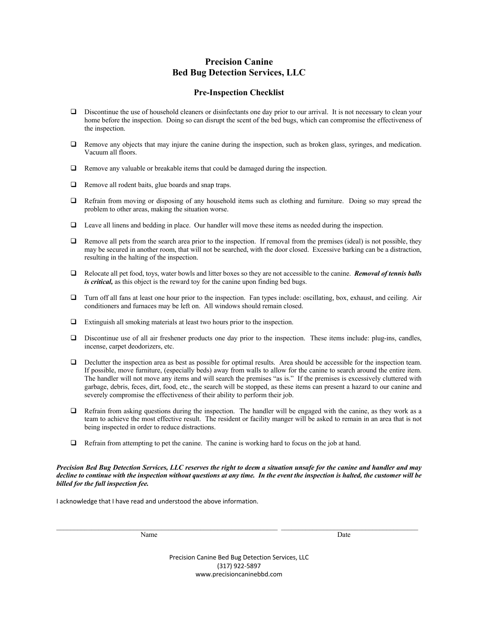## **Precision Canine Bed Bug Detection Services, LLC**

## **Pre-Inspection Checklist**

- $\Box$  Discontinue the use of household cleaners or disinfectants one day prior to our arrival. It is not necessary to clean your home before the inspection. Doing so can disrupt the scent of the bed bugs, which can compromise the effectiveness of the inspection.
- $\Box$  Remove any objects that may injure the canine during the inspection, such as broken glass, syringes, and medication. Vacuum all floors.
- $\Box$  Remove any valuable or breakable items that could be damaged during the inspection.
- $\Box$  Remove all rodent baits, glue boards and snap traps.
- $\Box$  Refrain from moving or disposing of any household items such as clothing and furniture. Doing so may spread the problem to other areas, making the situation worse.
- $\Box$  Leave all linens and bedding in place. Our handler will move these items as needed during the inspection.
- $\Box$  Remove all pets from the search area prior to the inspection. If removal from the premises (ideal) is not possible, they may be secured in another room, that will not be searched, with the door closed. Excessive barking can be a distraction, resulting in the halting of the inspection.
- q Relocate all pet food, toys, water bowls and litter boxes so they are not accessible to the canine. *Removal of tennis balls is critical,* as this object is the reward toy for the canine upon finding bed bugs.
- $\Box$  Turn off all fans at least one hour prior to the inspection. Fan types include: oscillating, box, exhaust, and ceiling. Air conditioners and furnaces may be left on. All windows should remain closed.
- $\Box$  Extinguish all smoking materials at least two hours prior to the inspection.
- $\Box$  Discontinue use of all air freshener products one day prior to the inspection. These items include: plug-ins, candles, incense, carpet deodorizers, etc.
- $\Box$  Declutter the inspection area as best as possible for optimal results. Area should be accessible for the inspection team. If possible, move furniture, (especially beds) away from walls to allow for the canine to search around the entire item. The handler will not move any items and will search the premises "as is." If the premises is excessively cluttered with garbage, debris, feces, dirt, food, etc., the search will be stopped, as these items can present a hazard to our canine and severely compromise the effectiveness of their ability to perform their job.
- $\Box$  Refrain from asking questions during the inspection. The handler will be engaged with the canine, as they work as a team to achieve the most effective result. The resident or facility manger will be asked to remain in an area that is not being inspected in order to reduce distractions.
- $\Box$  Refrain from attempting to pet the canine. The canine is working hard to focus on the job at hand.

*Precision Bed Bug Detection Services, LLC reserves the right to deem a situation unsafe for the canine and handler and may decline to continue with the inspection without questions at any time. In the event the inspection is halted, the customer will be billed for the full inspection fee.*

I acknowledge that I have read and understood the above information.

Name Date

Precision Canine Bed Bug Detection Services, LLC (317) 922-5897 www.precisioncaninebbd.com